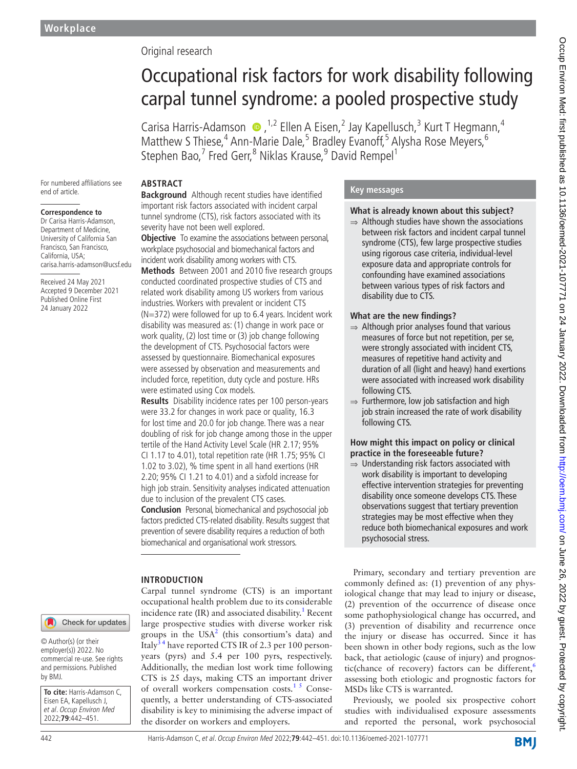## Original research

# Occupational risk factors for work disability following carpal tunnel syndrome: a pooled prospective study

CarisaHarris-Adamson  $\bullet$ , <sup>1,2</sup> Ellen A Eisen, <sup>2</sup> Jay Kapellusch, <sup>3</sup> Kurt T Hegmann, <sup>4</sup> Matthew S Thiese,<sup>4</sup> Ann-Marie Dale,<sup>5</sup> Bradley Evanoff,<sup>5</sup> Alysha Rose Meyers,<sup>6</sup> Stephen Bao,<sup>7</sup> Fred Gerr,<sup>8</sup> Niklas Krause,<sup>9</sup> David Rempel<sup>1</sup>

For numbered affiliations see end of article.

#### **Correspondence to**

Dr Carisa Harris-Adamson, Department of Medicine, University of California San Francisco, San Francisco, California, USA; carisa.harris-adamson@ucsf.edu

Received 24 May 2021 Accepted 9 December 2021 Published Online First 24 January 2022

#### **ABSTRACT Background** Although recent studies have identified important risk factors associated with incident carpal

tunnel syndrome (CTS), risk factors associated with its severity have not been well explored. **Objective** To examine the associations between personal. workplace psychosocial and biomechanical factors and incident work disability among workers with CTS.

**Methods** Between 2001 and 2010 five research groups conducted coordinated prospective studies of CTS and related work disability among US workers from various industries. Workers with prevalent or incident CTS (N=372) were followed for up to 6.4 years. Incident work disability was measured as: (1) change in work pace or work quality, (2) lost time or (3) job change following the development of CTS. Psychosocial factors were assessed by questionnaire. Biomechanical exposures were assessed by observation and measurements and included force, repetition, duty cycle and posture. HRs were estimated using Cox models.

**Results** Disability incidence rates per 100 person-years were 33.2 for changes in work pace or quality, 16.3 for lost time and 20.0 for job change. There was a near doubling of risk for job change among those in the upper tertile of the Hand Activity Level Scale (HR 2.17; 95% CI 1.17 to 4.01), total repetition rate (HR 1.75; 95% CI 1.02 to 3.02), % time spent in all hand exertions (HR 2.20; 95% CI 1.21 to 4.01) and a sixfold increase for high job strain. Sensitivity analyses indicated attenuation due to inclusion of the prevalent CTS cases.

**Conclusion** Personal, biomechanical and psychosocial job factors predicted CTS-related disability. Results suggest that prevention of severe disability requires a reduction of both biomechanical and organisational work stressors.

Carpal tunnel syndrome (CTS) is an important occupational health problem due to its considerable incidence rate (IR) and associated disability.<sup>[1](#page-9-0)</sup> Recent large prospective studies with diverse worker risk groups in the USA<sup>[2](#page-9-1)</sup> (this consortium's data) and Italy<sup>34</sup> have reported CTS IR of 2.3 per 100 personyears (pyrs) and 5.4 per 100 pyrs, respectively. Additionally, the median lost work time following

#### **INTRODUCTION**

Check for updates

© Author(s) (or their employer(s)) 2022. No commercial re-use. See rights and permissions. Published by BMJ.

**To cite:** Harris-Adamson C, Eisen EA, Kapellusch J, et al. Occup Environ Med 2022;**79**:442–451.

CTS is 25 days, making CTS an important driver of overall workers compensation costs.<sup>15</sup> Consequently, a better understanding of CTS-associated disability is key to minimising the adverse impact of the disorder on workers and employers.

#### **Key messages**

## **What is already known about this subject?**

 $\Rightarrow$  Although studies have shown the associations between risk factors and incident carpal tunnel syndrome (CTS), few large prospective studies using rigorous case criteria, individual-level exposure data and appropriate controls for confounding have examined associations between various types of risk factors and disability due to CTS.

#### **What are the new findings?**

- ⇒ Although prior analyses found that various measures of force but not repetition, per se, were strongly associated with incident CTS, measures of repetitive hand activity and duration of all (light and heavy) hand exertions were associated with increased work disability following CTS.
- ⇒ Furthermore, low job satisfaction and high job strain increased the rate of work disability following CTS.

#### **How might this impact on policy or clinical practice in the foreseeable future?**

⇒ Understanding risk factors associated with work disability is important to developing effective intervention strategies for preventing disability once someone develops CTS. These observations suggest that tertiary prevention strategies may be most effective when they reduce both biomechanical exposures and work psychosocial stress.

Primary, secondary and tertiary prevention are commonly defined as: (1) prevention of any physiological change that may lead to injury or disease, (2) prevention of the occurrence of disease once some pathophysiological change has occurred, and (3) prevention of disability and recurrence once the injury or disease has occurred. Since it has been shown in other body regions, such as the low back, that aetiologic (cause of injury) and prognostic(chance of recovery) factors can be different, $6$ assessing both etiologic and prognostic factors for MSDs like CTS is warranted.

Previously, we pooled six prospective cohort studies with individualised exposure assessments and reported the personal, work psychosocial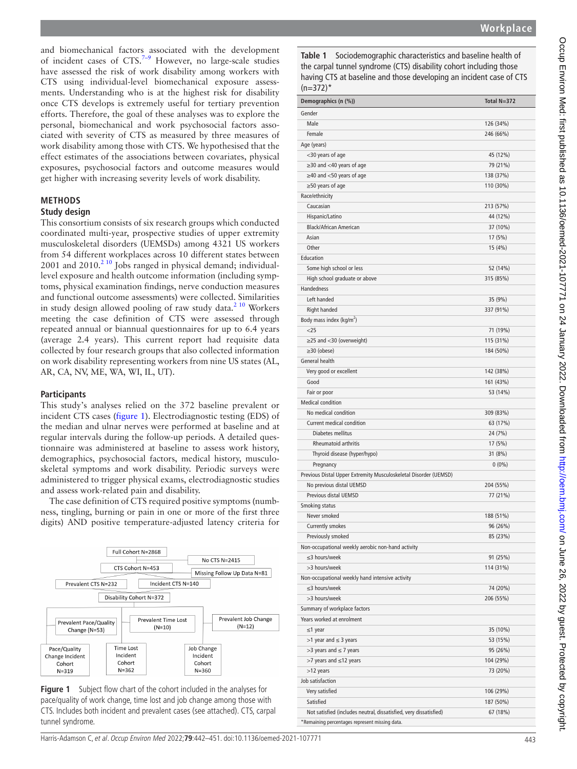and biomechanical factors associated with the development of incident cases of  $CTS.<sup>7-9</sup>$  However, no large-scale studies have assessed the risk of work disability among workers with CTS using individual-level biomechanical exposure assessments. Understanding who is at the highest risk for disability once CTS develops is extremely useful for tertiary prevention efforts. Therefore, the goal of these analyses was to explore the personal, biomechanical and work psychosocial factors associated with severity of CTS as measured by three measures of work disability among those with CTS. We hypothesised that the effect estimates of the associations between covariates, physical exposures, psychosocial factors and outcome measures would get higher with increasing severity levels of work disability.

## **METHODS**

#### **Study design**

This consortium consists of six research groups which conducted coordinated multi-year, prospective studies of upper extremity musculoskeletal disorders (UEMSDs) among 4321 US workers from 54 different workplaces across 10 different states between  $2001$  and  $2010.<sup>210</sup>$  Jobs ranged in physical demand; individuallevel exposure and health outcome information (including symptoms, physical examination findings, nerve conduction measures and functional outcome assessments) were collected. Similarities in study design allowed pooling of raw study data.<sup>2 10</sup> Workers meeting the case definition of CTS were assessed through repeated annual or biannual questionnaires for up to 6.4 years (average 2.4 years). This current report had requisite data collected by four research groups that also collected information on work disability representing workers from nine US states (AL, AR, CA, NV, ME, WA, WI, IL, UT).

#### **Participants**

This study's analyses relied on the 372 baseline prevalent or incident CTS cases ([figure](#page-1-0) 1). Electrodiagnostic testing (EDS) of the median and ulnar nerves were performed at baseline and at regular intervals during the follow-up periods. A detailed questionnaire was administered at baseline to assess work history, demographics, psychosocial factors, medical history, musculoskeletal symptoms and work disability. Periodic surveys were administered to trigger physical exams, electrodiagnostic studies and assess work-related pain and disability.

The case definition of CTS required positive symptoms (numbness, tingling, burning or pain in one or more of the first three digits) AND positive temperature-adjusted latency criteria for



<span id="page-1-0"></span>**Figure 1** Subject flow chart of the cohort included in the analyses for pace/quality of work change, time lost and job change among those with CTS. Includes both incident and prevalent cases (see attached). CTS, carpal tunnel syndrome.

<span id="page-1-1"></span>**Table 1** Sociodemographic characteristics and baseline health of the carpal tunnel syndrome (CTS) disability cohort including those having CTS at baseline and those developing an incident case of CTS  $(n=372)^*$ 

| Demographics (n (%))                                              | Total N=372 |
|-------------------------------------------------------------------|-------------|
| Gender                                                            |             |
| Male                                                              | 126 (34%)   |
| Female                                                            | 246 (66%)   |
| Age (years)                                                       |             |
| <30 years of age                                                  | 45 (12%)    |
| $\geq$ 30 and <40 years of age                                    | 79 (21%)    |
| $\geq$ 40 and <50 years of age                                    | 138 (37%)   |
| $\geq$ 50 years of age                                            | 110 (30%)   |
| Race/ethnicity                                                    |             |
| Caucasian                                                         | 213 (57%)   |
| Hispanic/Latino                                                   | 44 (12%)    |
| <b>Black/African American</b>                                     | 37 (10%)    |
| Asian                                                             | 17 (5%)     |
| Other                                                             | 15 (4%)     |
| Education                                                         |             |
| Some high school or less                                          | 52 (14%)    |
| High school graduate or above                                     | 315 (85%)   |
| <b>Handedness</b>                                                 |             |
| Left handed                                                       | 35 (9%)     |
| Right handed                                                      | 337 (91%)   |
| Body mass index (kg/m <sup>2</sup> )                              |             |
| $<$ 25                                                            | 71 (19%)    |
| $\geq$ 25 and <30 (overweight)                                    | 115 (31%)   |
| $\geq$ 30 (obese)                                                 | 184 (50%)   |
| General health                                                    |             |
| Very good or excellent                                            | 142 (38%)   |
| Good                                                              | 161 (43%)   |
| Fair or poor                                                      | 53 (14%)    |
| <b>Medical condition</b>                                          |             |
| No medical condition                                              | 309 (83%)   |
| Current medical condition                                         | 63 (17%)    |
| Diabetes mellitus                                                 | 24 (7%)     |
| <b>Rheumatoid arthritis</b>                                       | 17 (5%)     |
| Thyroid disease (hyper/hypo)                                      | 31 (8%)     |
| Pregnancy                                                         | $0(0\%)$    |
| Previous Distal Upper Extremity Musculoskeletal Disorder (UEMSD)  |             |
| No previous distal UEMSD                                          | 204 (55%)   |
| Previous distal UEMSD                                             | 77 (21%)    |
| Smoking status                                                    |             |
| Never smoked                                                      | 188 (51%)   |
| Currently smokes                                                  | 96 (26%)    |
| Previously smoked                                                 | 85 (23%)    |
| Non-occupational weekly aerobic non-hand activity                 |             |
| ≤3 hours/week                                                     | 91 (25%)    |
| >3 hours/week                                                     | 114 (31%)   |
| Non-occupational weekly hand intensive activity                   |             |
| ≤3 hours/week                                                     | 74 (20%)    |
| >3 hours/week                                                     | 206 (55%)   |
| Summary of workplace factors                                      |             |
| Years worked at enrolment                                         |             |
| ≤1 year                                                           | 35 (10%)    |
| $>1$ year and $\leq 3$ years                                      | 53 (15%)    |
| $>3$ years and $\leq 7$ years                                     | 95 (26%)    |
| >7 years and ≤12 years                                            | 104 (29%)   |
| >12 years                                                         | 73 (20%)    |
| Job satisfaction                                                  |             |
| Very satisfied                                                    | 106 (29%)   |
| Satisfied                                                         | 187 (50%)   |
| Not satisfied (includes neutral, dissatisfied, very dissatisfied) | 67 (18%)    |
| *Remaining percentages represent missing data.                    |             |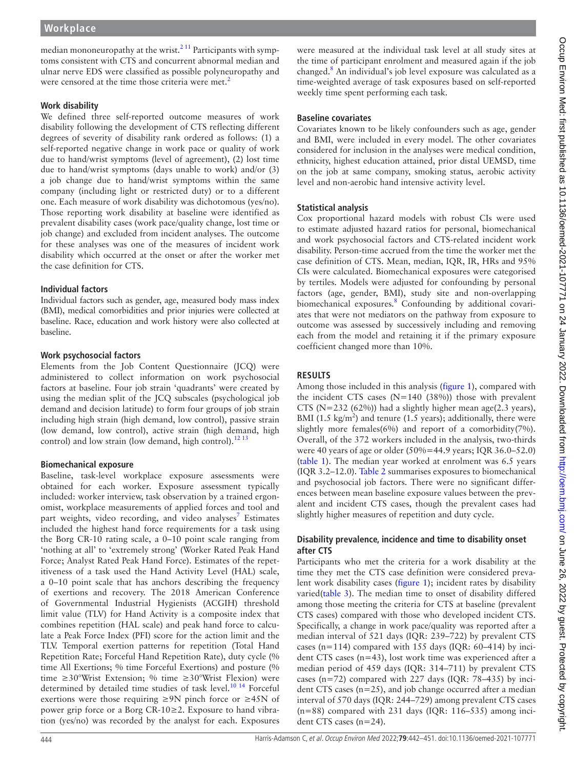median mononeuropathy at the wrist. $2^{11}$  Participants with symptoms consistent with CTS and concurrent abnormal median and ulnar nerve EDS were classified as possible polyneuropathy and were censored at the time those criteria were met.<sup>[2](#page-9-1)</sup>

#### **Work disability**

We defined three self-reported outcome measures of work disability following the development of CTS reflecting different degrees of severity of disability rank ordered as follows: (1) a self-reported negative change in work pace or quality of work due to hand/wrist symptoms (level of agreement), (2) lost time due to hand/wrist symptoms (days unable to work) and/or (3) a job change due to hand/wrist symptoms within the same company (including light or restricted duty) or to a different one. Each measure of work disability was dichotomous (yes/no). Those reporting work disability at baseline were identified as prevalent disability cases (work pace/quality change, lost time or job change) and excluded from incident analyses. The outcome for these analyses was one of the measures of incident work disability which occurred at the onset or after the worker met the case definition for CTS.

#### **Individual factors**

Individual factors such as gender, age, measured body mass index (BMI), medical comorbidities and prior injuries were collected at baseline. Race, education and work history were also collected at baseline.

## **Work psychosocial factors**

Elements from the Job Content Questionnaire (JCQ) were administered to collect information on work psychosocial factors at baseline. Four job strain 'quadrants' were created by using the median split of the JCQ subscales (psychological job demand and decision latitude) to form four groups of job strain including high strain (high demand, low control), passive strain (low demand, low control), active strain (high demand, high control) and low strain (low demand, high control).<sup>[12 13](#page-9-5)</sup>

#### **Biomechanical exposure**

Baseline, task-level workplace exposure assessments were obtained for each worker. Exposure assessment typically included: worker interview, task observation by a trained ergonomist, workplace measurements of applied forces and tool and part weights, video recording, and video analyses<sup>[7](#page-9-4)</sup> Estimates included the highest hand force requirements for a task using the Borg CR-10 rating scale, a 0–10 point scale ranging from 'nothing at all' to 'extremely strong' (Worker Rated Peak Hand Force; Analyst Rated Peak Hand Force). Estimates of the repetitiveness of a task used the Hand Activity Level (HAL) scale, a 0–10 point scale that has anchors describing the frequency of exertions and recovery. The 2018 American Conference of Governmental Industrial Hygienists (ACGIH) threshold limit value (TLV) for Hand Activity is a composite index that combines repetition (HAL scale) and peak hand force to calculate a Peak Force Index (PFI) score for the action limit and the TLV. Temporal exertion patterns for repetition (Total Hand Repetition Rate; Forceful Hand Repetition Rate), duty cycle (% time All Exertions; % time Forceful Exertions) and posture (% time  $\geq 30^{\circ}$ Wrist Extension; % time  $\geq 30^{\circ}$ Wrist Flexion) were determined by detailed time studies of task level.<sup>[10 14](#page-9-6)</sup> Forceful exertions were those requiring  $\geq$ 9N pinch force or  $\geq$ 45N of power grip force or a Borg CR-10≥2. Exposure to hand vibration (yes/no) was recorded by the analyst for each. Exposures

were measured at the individual task level at all study sites at the time of participant enrolment and measured again if the job changed.<sup>[8](#page-9-7)</sup> An individual's job level exposure was calculated as a time-weighted average of task exposures based on self-reported weekly time spent performing each task.

#### **Baseline covariates**

Covariates known to be likely confounders such as age, gender and BMI, were included in every model. The other covariates considered for inclusion in the analyses were medical condition, ethnicity, highest education attained, prior distal UEMSD, time on the job at same company, smoking status, aerobic activity level and non-aerobic hand intensive activity level.

#### **Statistical analysis**

Cox proportional hazard models with robust CIs were used to estimate adjusted hazard ratios for personal, biomechanical and work psychosocial factors and CTS-related incident work disability. Person-time accrued from the time the worker met the case definition of CTS. Mean, median, IQR, IR, HRs and 95% CIs were calculated. Biomechanical exposures were categorised by tertiles. Models were adjusted for confounding by personal factors (age, gender, BMI), study site and non-overlapping biomechanical exposures.<sup>[8](#page-9-7)</sup> Confounding by additional covariates that were not mediators on the pathway from exposure to outcome was assessed by successively including and removing each from the model and retaining it if the primary exposure coefficient changed more than 10%.

## **RESULTS**

Among those included in this analysis [\(figure](#page-1-0) 1), compared with the incident CTS cases  $(N=140 (38%))$  those with prevalent CTS ( $N=232$  (62%)) had a slightly higher mean age(2.3 years), BMI (1.5 kg/m<sup>2</sup>) and tenure (1.5 years); additionally, there were slightly more females(6%) and report of a comorbidity(7%). Overall, of the 372 workers included in the analysis, two-thirds were 40 years of age or older (50%=44.9 years; IQR 36.0–52.0) ([table](#page-1-1) 1). The median year worked at enrolment was 6.5 years (IQR 3.2–12.0). [Table](#page-3-0) 2 summarises exposures to biomechanical and psychosocial job factors. There were no significant differences between mean baseline exposure values between the prevalent and incident CTS cases, though the prevalent cases had slightly higher measures of repetition and duty cycle.

#### **Disability prevalence, incidence and time to disability onset after CTS**

Participants who met the criteria for a work disability at the time they met the CTS case definition were considered prevalent work disability cases ([figure](#page-1-0) 1); incident rates by disability varied[\(table](#page-4-0) 3). The median time to onset of disability differed among those meeting the criteria for CTS at baseline (prevalent CTS cases) compared with those who developed incident CTS. Specifically, a change in work pace/quality was reported after a median interval of 521 days (IQR: 239–722) by prevalent CTS cases (n=114) compared with 155 days (IQR:  $60-414$ ) by incident CTS cases (n=43), lost work time was experienced after a median period of 459 days (IQR: 314–711) by prevalent CTS cases (n=72) compared with 227 days (IQR: 78–435) by incident CTS cases (n=25), and job change occurred after a median interval of 570 days (IQR: 244–729) among prevalent CTS cases (n=88) compared with 231 days (IQR: 116–535) among incident CTS cases (n=24).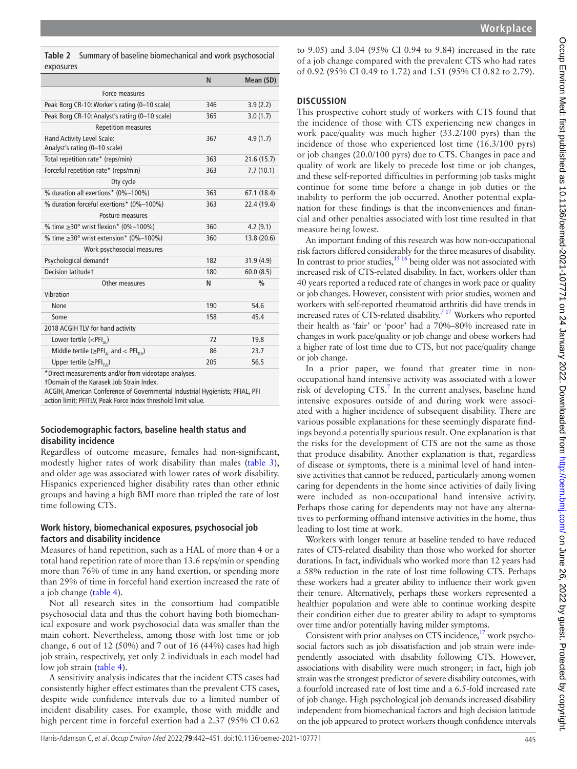to 9.05) and 3.04 (95% CI 0.94 to 9.84) increased in the rate of a job change compared with the prevalent CTS who had rates of 0.92 (95% CI 0.49 to 1.72) and 1.51 (95% CI 0.82 to 2.79).

#### **DISCUSSION**

This prospective cohort study of workers with CTS found that the incidence of those with CTS experiencing new changes in work pace/quality was much higher (33.2/100 pyrs) than the incidence of those who experienced lost time (16.3/100 pyrs) or job changes (20.0/100 pyrs) due to CTS. Changes in pace and quality of work are likely to precede lost time or job changes, and these self-reported difficulties in performing job tasks might continue for some time before a change in job duties or the inability to perform the job occurred. Another potential explanation for these findings is that the inconveniences and financial and other penalties associated with lost time resulted in that measure being lowest.

An important finding of this research was how non-occupational risk factors differed considerably for the three measures of disability. In contrast to prior studies,<sup>15 16</sup> being older was not associated with increased risk of CTS-related disability. In fact, workers older than 40 years reported a reduced rate of changes in work pace or quality or job changes. However, consistent with prior studies, women and workers with self-reported rheumatoid arthritis did have trends in increased rates of CTS-related disability.<sup>7 17</sup> Workers who reported their health as 'fair' or 'poor' had a 70%–80% increased rate in changes in work pace/quality or job change and obese workers had a higher rate of lost time due to CTS, but not pace/quality change or job change.

In a prior paper, we found that greater time in nonoccupational hand intensive activity was associated with a lower risk of developing  $CTS$ .<sup>[7](#page-9-4)</sup> In the current analyses, baseline hand intensive exposures outside of and during work were associated with a higher incidence of subsequent disability. There are various possible explanations for these seemingly disparate findings beyond a potentially spurious result. One explanation is that the risks for the development of CTS are not the same as those that produce disability. Another explanation is that, regardless of disease or symptoms, there is a minimal level of hand intensive activities that cannot be reduced, particularly among women caring for dependents in the home since activities of daily living were included as non-occupational hand intensive activity. Perhaps those caring for dependents may not have any alternatives to performing offhand intensive activities in the home, thus leading to lost time at work.

Workers with longer tenure at baseline tended to have reduced rates of CTS-related disability than those who worked for shorter durations. In fact, individuals who worked more than 12 years had a 58% reduction in the rate of lost time following CTS. Perhaps these workers had a greater ability to influence their work given their tenure. Alternatively, perhaps these workers represented a healthier population and were able to continue working despite their condition either due to greater ability to adapt to symptoms over time and/or potentially having milder symptoms.

Consistent with prior analyses on CTS incidence, $17$  work psychosocial factors such as job dissatisfaction and job strain were independently associated with disability following CTS. However, associations with disability were much stronger; in fact, high job strain was the strongest predictor of severe disability outcomes, with a fourfold increased rate of lost time and a 6.5-fold increased rate of job change. High psychological job demands increased disability independent from biomechanical factors and high decision latitude on the job appeared to protect workers though confidence intervals

<span id="page-3-0"></span>**Table 2** Summary of baseline biomechanical and work psychosocial exposures

|                                                                     | N   | Mean (SD)     |
|---------------------------------------------------------------------|-----|---------------|
| Force measures                                                      |     |               |
| Peak Borg CR-10: Worker's rating (0-10 scale)                       | 346 | 3.9(2.2)      |
| Peak Borg CR-10: Analyst's rating (0-10 scale)                      | 365 | 3.0(1.7)      |
| <b>Repetition measures</b>                                          |     |               |
| Hand Activity Level Scale:<br>Analyst's rating (0-10 scale)         | 367 | 4.9(1.7)      |
| Total repetition rate* (reps/min)                                   | 363 | 21.6(15.7)    |
| Forceful repetition rate* (reps/min)                                | 363 | 7.7(10.1)     |
| Dty cycle                                                           |     |               |
| % duration all exertions* (0%-100%)                                 | 363 | 67.1 (18.4)   |
| % duration forceful exertions* (0%-100%)                            | 363 | 22.4 (19.4)   |
| Posture measures                                                    |     |               |
| % time $\geq$ 30° wrist flexion* (0%–100%)                          | 360 | 4.2(9.1)      |
| % time $\geq$ 30° wrist extension* (0%–100%)                        | 360 | 13.8 (20.6)   |
| Work psychosocial measures                                          |     |               |
| Psychological demandt                                               | 182 | 31.9(4.9)     |
| Decision latitude†                                                  | 180 | 60.0(8.5)     |
| Other measures                                                      | N   | $\frac{0}{0}$ |
| Vibration                                                           |     |               |
| None                                                                | 190 | 54.6          |
| Some                                                                | 158 | 45.4          |
| 2018 ACGIH TLV for hand activity                                    |     |               |
| Lower tertile $(<$ PFI <sub><math>_{21}</math></sub> )              | 72  | 19.8          |
| Middle tertile ( $\geq$ PFI <sub>M</sub> and < PFI <sub>TIV</sub> ) | 86  | 23.7          |
| Upper tertile $(\geq PFI_{\tau}$                                    | 205 | 56.5          |
|                                                                     |     |               |

\*Direct measurements and/or from videotape analyses.

†Domain of the Karasek Job Strain Index.

ACGIH, American Conference of Governmental Industrial Hygienists; PFIAL, PFI action limit; PFITLV, Peak Force Index threshold limit value.

#### **Sociodemographic factors, baseline health status and disability incidence**

Regardless of outcome measure, females had non-significant, modestly higher rates of work disability than males ([table](#page-4-0) 3), and older age was associated with lower rates of work disability. Hispanics experienced higher disability rates than other ethnic groups and having a high BMI more than tripled the rate of lost time following CTS.

## **Work history, biomechanical exposures, psychosocial job factors and disability incidence**

Measures of hand repetition, such as a HAL of more than 4 or a total hand repetition rate of more than 13.6 reps/min or spending more than 76% of time in any hand exertion, or spending more than 29% of time in forceful hand exertion increased the rate of a job change ([table](#page-6-0) 4).

Not all research sites in the consortium had compatible psychosocial data and thus the cohort having both biomechanical exposure and work psychosocial data was smaller than the main cohort. Nevertheless, among those with lost time or job change, 6 out of 12 (50%) and 7 out of 16 (44%) cases had high job strain, respectively, yet only 2 individuals in each model had low job strain [\(table](#page-6-0) 4).

A sensitivity analysis indicates that the incident CTS cases had consistently higher effect estimates than the prevalent CTS cases, despite wide confidence intervals due to a limited number of incident disability cases. For example, those with middle and high percent time in forceful exertion had a 2.37 (95% CI 0.62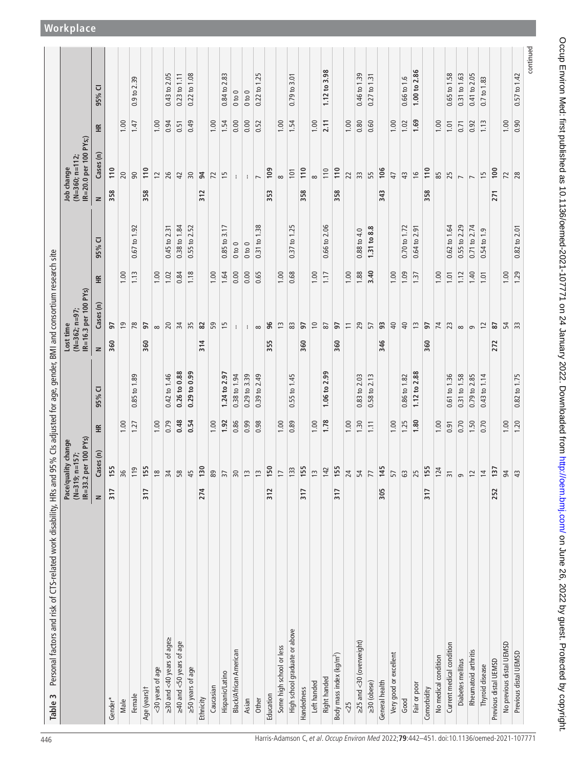<span id="page-4-0"></span>

| Personal factors and risk of CTS-related work disability, HRs and<br>Table 3 |                          |                                                                       |      | 95% CIs adjusted for age, gender, BMI and consortium research site |           |                                       |      |                 |        |                                                         |      |              |
|------------------------------------------------------------------------------|--------------------------|-----------------------------------------------------------------------|------|--------------------------------------------------------------------|-----------|---------------------------------------|------|-----------------|--------|---------------------------------------------------------|------|--------------|
|                                                                              | $(M=319;$<br>$IR = 33.2$ | per 100 PYs)<br>Pace/quality change<br>$n = 157$ ;                    |      |                                                                    | Lost time | IR=16.3 per 100 PYs)<br>(N=362; n=97; |      |                 |        | IR=20.0 per 100 PYs;)<br>$(N=360; n=112;$<br>Job change |      |              |
|                                                                              | $\geq$                   | Cases (n)                                                             | £    | ⊽<br>95%                                                           | $\geq$    | Cases (n)                             | ≝    | U<br>95%        | $\geq$ | Cases (n)                                               | 똪    | U<br>95%     |
| Gender*                                                                      | 317                      | 55                                                                    |      |                                                                    | 360       | 57                                    |      |                 | 358    | 110                                                     |      |              |
| Male                                                                         |                          | 36                                                                    | 1.00 |                                                                    |           | $\overline{1}$                        | 1.00 |                 |        | 20                                                      | 1.00 |              |
| Female                                                                       |                          | $\overline{\mathsf{D}}$                                               | 1.27 | $0.85$ to $1.89$                                                   |           | 78                                    | 1.13 | 0.67 to 1.92    |        | 90                                                      | 1.47 | 0.9 to 2.39  |
| Age (years) t                                                                | 317                      | 55                                                                    |      |                                                                    | 360       | 57                                    |      |                 | 358    | 110                                                     |      |              |
| <30 years of age                                                             |                          |                                                                       | 1.00 |                                                                    |           | $\infty$                              | 1.00 |                 |        | $\overline{c}$                                          | 1.00 |              |
| ≥30 and <40 years of age≥                                                    |                          |                                                                       | 0.79 | 0.42 to 1.46                                                       |           | 20                                    | 1.02 | 0.45 to 2.31    |        | 26                                                      | 0.94 | 0.43 to 2.05 |
| ≥40 and <50 years of age                                                     |                          |                                                                       | 0.48 | 0.26 to 0.88                                                       |           | 34                                    | 0.84 | 0.38 to 1.84    |        | $\overline{4}$                                          | 0.51 | 0.23 to 1.11 |
| ≥50 years of age                                                             |                          |                                                                       | 0.54 | $0.29$ to $0.99$                                                   |           | 35                                    | 1.18 | 0.55 to 2.52    |        | 30                                                      | 0.49 | 0.22 to 1.08 |
| Ethnicity                                                                    | 274                      |                                                                       |      |                                                                    | 314       | 82                                    |      |                 | 312    | 94                                                      |      |              |
| Caucasian                                                                    |                          |                                                                       | 1.00 |                                                                    |           | 59                                    | 1.00 |                 |        | $\mathcal{L}$                                           | 1.00 |              |
| Hispanic/Latino                                                              |                          |                                                                       | 1.92 | 1.24 to 2.97                                                       |           | 15                                    | 1.64 | 0.85 to 3.17    |        | 15                                                      | 1.54 | 0.84 to 2.83 |
| Black/African American                                                       |                          |                                                                       | 0.86 | 0.38 to 1.94                                                       |           | $\ddot{\phantom{a}}$                  | 0.00 | $0$ to $0$      |        | $\mathbf{I}$                                            | 0.00 | $0$ to $0$   |
| Asian                                                                        |                          |                                                                       | 0.99 | $0.29$ to $3.39$                                                   |           | ÷                                     | 0.00 | $0$ to $0$      |        | $\ddot{\phantom{a}}$                                    | 0.00 | 0 to 0       |
| Other                                                                        |                          |                                                                       | 0.98 | 0.39 to 2.49                                                       |           | $\infty$                              | 0.65 | 0.31 to 1.38    |        | $\overline{ }$                                          | 0.52 | 0.22 to 1.25 |
| Education                                                                    | 312                      |                                                                       |      |                                                                    | 355       | 96                                    |      |                 | 353    | 109                                                     |      |              |
| Some high school or less                                                     |                          |                                                                       | 1.00 |                                                                    |           | $\tilde{1}$                           | 1.00 |                 |        | $\infty$                                                | 1.00 |              |
| High school graduate or above                                                |                          | 33                                                                    | 0.89 | 0.55 to 1.45                                                       |           | 83                                    | 0.68 | 0.37 to 1.25    |        | 101                                                     | 1.54 | 0.79 to 3.01 |
| Handedness                                                                   | 317                      | 55                                                                    |      |                                                                    | 360       | $\overline{9}$                        |      |                 | 358    | 110                                                     |      |              |
| Left handed                                                                  |                          |                                                                       | 1.00 |                                                                    |           | $\overline{10}$                       | 1.00 |                 |        | $\infty$                                                | 1.00 |              |
| Right handed                                                                 |                          | $m \nvert q$                                                          | 1.78 | 1.06 to 2.99                                                       |           | $\overline{8}$                        | 1.17 | 0.66 to 2.06    |        | 110                                                     | 2.11 | 1.12 to 3.98 |
| Body mass index (kg/m <sup>2</sup> )                                         | 317                      |                                                                       |      |                                                                    | 360       | 97                                    |      |                 | 358    | 110                                                     |      |              |
| <25                                                                          |                          | $\frac{155}{24}$                                                      | 1.00 |                                                                    |           | $\overline{1}$                        | 1.00 |                 |        | 22                                                      | 1.00 |              |
| ≥25 and <30 (overweight)                                                     |                          |                                                                       | 1.30 | 0.83 to 2.03                                                       |           | 29                                    | 1.88 | 0.88 to 4.0     |        | 33                                                      | 0.80 | 0.46 to 1.39 |
| $\geq$ 30 (obese)                                                            |                          |                                                                       | 1.11 | 0.58 to 2.13                                                       |           | 57                                    | 3.40 | 1.31 to 8.8     |        | 55                                                      | 0.60 | 0.27 to 1.31 |
| General health                                                               | 305                      |                                                                       |      |                                                                    | 346       | 93                                    |      |                 | 343    | 106                                                     |      |              |
| Very good or excellent                                                       |                          | $\frac{145}{57}$ $\frac{25}{155}$                                     | 1.00 |                                                                    |           | $\overline{40}$                       | 1.00 |                 |        | 47                                                      | 1.00 |              |
| Good                                                                         |                          |                                                                       | 1.25 | 0.86 to 1.82                                                       |           | $\overline{40}$                       | 1.09 | 0.70 to 1.72    |        | 43                                                      | 1.02 | 0.66 to 1.6  |
| Fair or poor                                                                 |                          |                                                                       | 1.80 | 1.12 to 2.88                                                       |           | $\frac{1}{3}$                         | 1.37 | 0.64 to 2.91    |        | $\frac{6}{2}$                                           | 1.69 | 1.00 to 2.86 |
| Comorbidity                                                                  | 317                      |                                                                       |      |                                                                    | 360       | 57                                    |      |                 | 358    | 110                                                     |      |              |
| No medical condition                                                         |                          |                                                                       | 1.00 |                                                                    |           | 74                                    | 1.00 |                 |        | 85                                                      | 1.00 |              |
| Current medical condition                                                    |                          | $\frac{124}{31}$                                                      | 0.91 | 0.61 to 1.36                                                       |           | 23                                    | 1.01 | 0.62 to 1.64    |        | 25                                                      | 1.01 | 0.65 to 1.58 |
| Diabetes mellitus                                                            |                          | G                                                                     | 0.70 | 0.31 to 1.58                                                       |           | $\infty$                              | 1.12 | 0.55 to 2.29    |        | $\overline{\phantom{0}}$                                | 0.71 | 0.31 to 1.63 |
| Rheumatoid arthritis                                                         |                          |                                                                       | 1.50 | 0.79 to 2.85                                                       |           | $\sigma$                              | 1.40 | 0.71 to 2.74    |        | $\overline{ }$                                          | 0.92 | 0.41 to 2.05 |
| Thyroid disease                                                              |                          |                                                                       | 0.70 | 0.43 to 1.14                                                       |           | $\overline{c}$                        | 1.01 | $0.54$ to $1.9$ |        | $\overline{1}$                                          | 1.13 | 0.7 to 1.83  |
| Previous distal UEMSD                                                        | 252                      | $\frac{1}{4}$ $\frac{1}{2}$ $\frac{1}{2}$ $\frac{1}{4}$ $\frac{1}{3}$ |      |                                                                    | 272       | 87                                    |      |                 | 271    | 100                                                     |      |              |
| No previous distal UEMSD                                                     |                          |                                                                       | 1.00 |                                                                    |           | 54                                    | 1.00 |                 |        | $\mathcal{L}$                                           | 1.00 |              |
| Previous distal UEMSD                                                        |                          |                                                                       | 1.20 | 0.82 to 1.75                                                       |           | 33                                    | 1.29 | 0.82 to 2.01    |        | 28                                                      | 0.90 | 0.57 to 1.42 |
|                                                                              |                          |                                                                       |      |                                                                    |           |                                       |      |                 |        |                                                         |      | continuer    |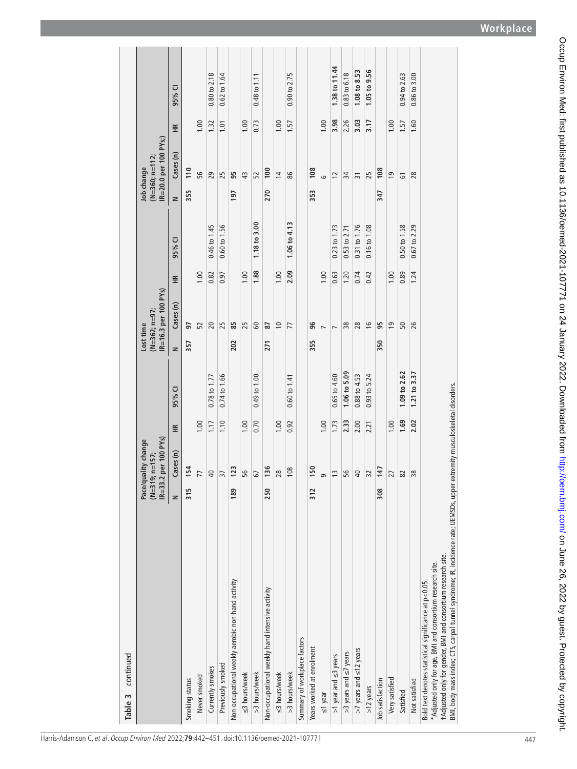| continued<br>Table 3                                                                                                                                                                                                                                                       |               |                                                           |      |                         |           |                                         |       |                         |            |                                           |       |                  |
|----------------------------------------------------------------------------------------------------------------------------------------------------------------------------------------------------------------------------------------------------------------------------|---------------|-----------------------------------------------------------|------|-------------------------|-----------|-----------------------------------------|-------|-------------------------|------------|-------------------------------------------|-------|------------------|
|                                                                                                                                                                                                                                                                            | $IR = 33$     | 3.2 per 100 PYs)<br>Pace/quality change<br>(N=319; n=157; |      |                         | Lost time | IR=16.3 per 100 PYs)<br>$(N=362; n=97;$ |       |                         | Job change | IR=20.0 per 100 PYs;)<br>$(N=360; n=112;$ |       |                  |
|                                                                                                                                                                                                                                                                            | $\geq$        | Cases (n)                                                 | €    | 95% CI                  | z         | Cases (n)                               | 兰     | 95% CI                  | $\geq$     | Cases (n)                                 | €     | 95% CI           |
| Smoking status                                                                                                                                                                                                                                                             | 315           | 154                                                       |      |                         | 357       | 57                                      |       |                         | 355        | 110                                       |       |                  |
| Never smoked                                                                                                                                                                                                                                                               |               | 77                                                        | 1.00 |                         |           | 52                                      | 1.00  |                         |            | 95                                        | 1.00  |                  |
| Currently smokes                                                                                                                                                                                                                                                           |               | $\overline{40}$                                           | 1.17 | 0.78 to 1.77            |           | 20                                      | 0.82  | 0.46 to 1.45            |            | 29                                        | 1.32  | $0.80$ to $2.18$ |
| Previously smoked                                                                                                                                                                                                                                                          |               | 37                                                        | 1.10 | $0.74 \text{ to } 1.66$ |           | 25                                      | 0.97  | $0.60 \text{ to } 1.56$ |            | 25                                        | 1.01  | $0.62$ to 1.64   |
| Non-occupational weekly aerobic non-hand activity                                                                                                                                                                                                                          | 189           | 123                                                       |      |                         | 202       | 85                                      |       |                         | 197        | 95                                        |       |                  |
| ≤3 hours/week                                                                                                                                                                                                                                                              |               | 56                                                        | 1.00 |                         |           | 25                                      | 0.001 |                         |            | 43                                        | 0.001 |                  |
| >3 hours/week                                                                                                                                                                                                                                                              |               | 5                                                         | 0.70 | $0.49$ to $1.00$        |           | 60                                      | 1.88  | $1.18$ to 3.00          |            | 52                                        | 0.73  | $0.48$ to $1.11$ |
| Non-occupational weekly hand intensive activity                                                                                                                                                                                                                            | 250           | 136                                                       |      |                         | 271       | 87                                      |       |                         | 270        | 100                                       |       |                  |
| ≤3 hours/week                                                                                                                                                                                                                                                              |               | 28                                                        | 1.00 |                         |           | $\approx$                               | 1.00  |                         |            | $\overline{4}$                            | 1.00  |                  |
| >3 hours/week                                                                                                                                                                                                                                                              |               | 108                                                       | 0.92 | $0.60 \text{ to } 1.41$ |           | 77                                      | 2.09  | 1.06 to 4.13            |            | 86                                        | 1.57  | $0.90$ to $2.75$ |
| Summary of workplace factors                                                                                                                                                                                                                                               |               |                                                           |      |                         |           |                                         |       |                         |            |                                           |       |                  |
| Years worked at enrolment                                                                                                                                                                                                                                                  | $\frac{2}{3}$ | 150                                                       |      |                         | 355       | 96                                      |       |                         | 353        | 108                                       |       |                  |
| $\leq$ 1 year                                                                                                                                                                                                                                                              |               | G                                                         | 1.00 |                         |           | $\overline{ }$                          | 1.00  |                         |            | 6                                         | 1.00  |                  |
| $>1$ year and $\leq$ 3 years                                                                                                                                                                                                                                               |               | $\tilde{1}$                                               | 1.73 | $0.65$ to $4.60$        |           | $\overline{ }$                          | 0.63  | 0.23 to 1.73            |            | 12                                        | 3.98  | 1.38 to 11.44    |
| >3 years and $\leq$ 7 years                                                                                                                                                                                                                                                |               | 56                                                        | 2.33 | 1.06 to 5.09            |           | 38                                      | 1.20  | 0.53 to 2.71            |            | $\approx$                                 | 2.26  | 0.83 to 6.18     |
| >7 years and $\leq$ 12 years                                                                                                                                                                                                                                               |               | $\overline{40}$                                           | 2.00 | 0.88 to 4.53            |           | 28                                      | 0.74  | 0.31 to 1.76            |            | $\overline{31}$                           | 3.03  | 1.08 to 8.53     |
| $>12$ years                                                                                                                                                                                                                                                                |               | 32                                                        | 2.21 | $0.93$ to 5.24          |           | $\frac{6}{2}$                           | 0.42  | $0.16 \text{ to } 1.08$ |            | 25                                        | 3.17  | 1.05 to 9.56     |
| Job satisfaction                                                                                                                                                                                                                                                           | 308           | 147                                                       |      |                         | 350       | 95                                      |       |                         | 347        | 108                                       |       |                  |
| Very satisfied                                                                                                                                                                                                                                                             |               | 27                                                        | 1.00 |                         |           | $\overline{0}$                          | 1.00  |                         |            | ഉ                                         | 1.00  |                  |
| Satisfied                                                                                                                                                                                                                                                                  |               | 82                                                        | 1.69 | 1.09 to 2.62            |           | 50                                      | 0.89  | 0.50 to 1.58            |            | 61                                        | 1.57  | 0.94 to 2.63     |
| Not satisfied                                                                                                                                                                                                                                                              |               | 38                                                        | 2.02 | 1.21 to 3.37            |           | 26                                      | 1.24  | 0.67 to 2.29            |            | 28                                        | 1.60  | $0.86$ to $3.00$ |
| BMI, body mass index; CTS, carpal tunnel syndrome; IR, incidence rate; UEMSDs, upper<br>tAdjusted only for gender, BMI and consortium research site.<br>*Adjusted only for age, BMI and consortium research site.<br>Bold text denotes statistical significance at p<0.05. |               | extremity musculoskeletal disorders.                      |      |                         |           |                                         |       |                         |            |                                           |       |                  |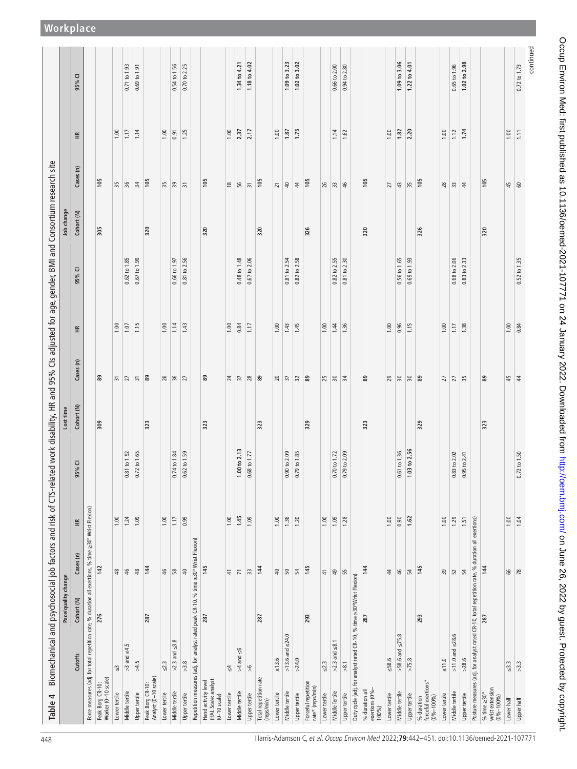<span id="page-6-0"></span>

|                                                                                                      | Pace/quality change |                          |        |                              | Lost tim   |                       |                |              | Job change |                          |                 |                  |
|------------------------------------------------------------------------------------------------------|---------------------|--------------------------|--------|------------------------------|------------|-----------------------|----------------|--------------|------------|--------------------------|-----------------|------------------|
| Cutoffs                                                                                              | Cohort (N)          | Cases (n)                | 똪      | U<br>$95\%$                  | Cohort (N) | Cases (n)             | 똪              | ⊽<br>95%     | Cohort (N) | Ξ<br>Cases               | 띂               | ⊽<br>95%         |
| Force measures (adj. for total repetition rate, % duration all exertions, % time ≥30° Wrist Flexion) |                     |                          |        |                              |            |                       |                |              |            |                          |                 |                  |
| Peak Borg CR-10:<br>Worker (0–10 scale)                                                              | 276                 | 142                      |        |                              | 309        | 89                    |                |              | 305        | 105                      |                 |                  |
| $\mathbb{S}^2$<br>Lower tertile                                                                      |                     | $\frac{8}{3}$            | 1.00   |                              |            | $\overline{\epsilon}$ | 1.00           |              |            | $35\,$                   | 1.00            |                  |
| $>3$ and $\leq4.5$<br>Middle tertile                                                                 |                     | $\frac{4}{5}$            | 1.24   | 0.81 to 1.92                 |            | $\overline{27}$       | 1.07           | 0.62 to 1.85 |            | 36                       | 1.17            | 0.71 to 1.93     |
| $>4.5$<br>Upper tertile                                                                              |                     | $\frac{8}{3}$            | 1.09   | $0.72$ to $1.65$             |            | $\overline{\pi}$      | 1.15           | 0.67 to 1.99 |            | $\frac{34}{3}$           | 1.14            | 0.69 to 1.91     |
| Peak Borg CR-10:<br>Analyst (0–10 scale)                                                             | 287                 | 144                      |        |                              | 323        | 89                    |                |              | 320        | 105                      |                 |                  |
| $\leq 2.3$<br>Lower tertile                                                                          |                     | \$                       | 1.00   |                              |            |                       | 1.00           |              |            |                          | 1.00            |                  |
| $>2.3$ and $\leq$ 3.8<br>Middle tertile                                                              |                     | 58                       | $1.17$ | 74 to 1.84<br>$\circ$        |            | $26$<br>$36$          | 1.14           | 0.66 to 1.97 |            | $\frac{8}{3}$            | 0.91            | 0.54 to 1.56     |
| $>3.8$<br>Upper tertile                                                                              |                     | 40                       | 0.99   | 0.62 to 1.59                 |            | $\overline{27}$       | 1.43           | 0.81 to 2.56 |            | $\overline{\mathcal{E}}$ | 1.25            | 0.70 to 2.25     |
| Repetition measures (adj. for analyst rated peak CR-10, % time ≥30° Wrist Flexion)                   |                     |                          |        |                              |            |                       |                |              |            |                          |                 |                  |
| Hand activity level<br>(HAL Scale: analyst<br>$(0-10 scale)$                                         | 287                 | 145                      |        |                              | 323        | 89                    |                |              | 320        | 105                      |                 |                  |
| $\frac{4}{7}$<br>Lower tertile                                                                       |                     | $\frac{4}{1}$            | 1.00   |                              |            | 24                    | 1.00           |              |            | $\frac{8}{2}$            | 1.00            |                  |
| $>4$ and $\leq 6$<br>Middle tertile                                                                  |                     | $\overline{\phantom{a}}$ | 1.45   | 1.00 to 2.13                 |            | $\sqrt{2}$            | 0.84           | 0.48 to 1.48 |            | 95                       | 2.37            | 1.34 to 4.21     |
| $\frac{8}{2}$<br>Upper tertile                                                                       |                     | $\overline{3}$           | 1.09   | 0.68 to 1.77                 |            | 28                    | 1.17           | 0.67 to 2.06 |            | $\overline{5}$           | 2.17            | 1.18 to 4.02     |
| Total repetition rate<br>(reps/min)                                                                  | 287                 | 144                      |        |                              | 323        | 89                    |                |              | 320        | 105                      |                 |                  |
| $\leq 13.6$<br>Lower tertile                                                                         |                     | $\overline{40}$          | 1.00   |                              |            | 20                    | 1.00           |              |            | $\overline{z}$           | 1.00            |                  |
| $>13.6$ and $\leq$ 24.0<br>Middle tertile                                                            |                     | 50                       | 1.36   | 90 to 2.09<br>$\ddot{\circ}$ |            | $\sqrt{3}$            | 1.43           | 0.81 to 2.54 |            | $\Theta$                 | 1.87            | 1.09 to 3.23     |
| $>24.0$<br>Upper tertile                                                                             |                     | $\frac{1}{4}$            | 1.20   | 79 to 1.85<br>$\sigma$       |            | $\overline{32}$       | 1.45           | 0.82 to 2.58 |            | $\frac{4}{3}$            | 1.75            | 1.02 to 3.02     |
| Forceful repetition<br>rate* (reps/min)                                                              | 293                 | 145                      |        |                              | 329        | 89                    |                |              | 326        | 105                      |                 |                  |
| $\leq 2.3$<br>Lower tertile                                                                          |                     | $\frac{1}{4}$            | 1.00   |                              |            | 25                    | 1.00           |              |            | 26                       |                 |                  |
| $>2.3$ and $\leq 8.1$<br>Middle Tertile                                                              |                     | 49                       | 1.09   | 70 to 1.72<br>$\circ$        |            | $\frac{8}{34}$        | $\frac{14}{3}$ | 0.82 to 2.55 |            | $\sqrt{3}$               | 1.14            | $0.66$ to $2.00$ |
| $\frac{1}{28}$<br>Upper tertile                                                                      |                     | 55                       | 1.28   | 79 to 2.09<br>$\circ$        |            |                       | 1.36           | 0.81 to 2.30 |            | $\frac{4}{5}$            | 1.62            | 0.94 to 2.80     |
| Duty cycle (adj. for analyst rated CR-10, % time ≥30°Wrist Flexion)                                  |                     |                          |        |                              |            |                       |                |              |            |                          |                 |                  |
| % duration all<br>exertions (0% $-$<br>100%)                                                         | 287                 | 144                      |        |                              | 323        | 89                    |                |              | 320        | 105                      |                 |                  |
| $\leq 58.6$<br>Lower tertile                                                                         |                     | $\ddot{4}$               | 1.00   |                              |            | 29                    | 1.00           |              |            | 27                       | 1.00            |                  |
| $>58.6$ and $\leq$ 75.8<br>Middle tertile                                                            |                     | 46                       | 0.90   | 0.61 to 1.36                 |            | $\frac{8}{2}$         | 0.96           | 0.56 to 1.65 |            | 43                       | 1.82            | 1.09 to 3.06     |
| $>75.8$<br>Upper tertile                                                                             |                     | $\frac{1}{4}$            | 1.62   | to 2.56<br>1.03              |            | $\frac{8}{2}$         | 1.15           | 0.69 to 1.93 |            | 35                       | 2.20            | 1.22 to 4.01     |
| forceful exertions*<br>$(0% - 100%$<br>% duration                                                    | 293                 | 145                      |        |                              | 329        |                       |                |              | 326        | 105                      |                 |                  |
| $\leq 11.0$<br>Lower tertile                                                                         |                     | 39                       | 1.00   |                              |            |                       | 1.00           |              |            | 28                       | 1.00            |                  |
| $>11.0$ and $\leq$ 28.6<br>Middle tertile                                                            |                     | 52                       | 1.29   | 0.83 to 2.02                 |            | $27 - 35$             | $1.17$         | 0.68 to 2.06 |            | $\frac{33}{2}$           | 1.12            | 0.65 to 1.96     |
| $>28.6$<br>Upper tertile                                                                             |                     | 54                       | 1.51   | $0.95$ to $2.41$             |            |                       | 1.38           | 0.83 to 2.33 |            | 4                        | 1.74            | 1.02 to 2.98     |
| Posture measures (adj. for analyst rated CR-10, total repetition rate, % duration all exertions)     |                     |                          |        |                              |            |                       |                |              |            |                          |                 |                  |
| wrist extension<br>(0%–100%)<br>% time $\geq$ 30°                                                    | 287                 | 144                      |        |                              | 323        | 89                    |                |              | 320        | 105                      |                 |                  |
| $\leq 3.3$<br>Lower half                                                                             |                     | 66                       | 1.00   |                              |            | 45                    | 1.00           |              |            | 45                       | 1.00            |                  |
| $>3.3$<br>Upper half                                                                                 |                     | $\frac{8}{2}$            | 1.04   | 72 to 1.50<br>$\dot{\circ}$  |            | $\vert 4$             | 0.84           | 0.52 to 1.35 |            | 60                       | $\overline{11}$ | 0.72 to 1.73     |

Occup Environ Med: first published as 10.1136/oemed-2021-107771 on 24 January 2022. Downloaded from http://oem.bmj.com/ on June 26, 2022 by guest. Protected by copyright. Occup Environ Med: first published as 10.1136/oemed-2021-107771 on 24 January 2022. Downloaded from Mmed: //oem.bmj.com/ on June 26, 2022. Dy guest. Protected by copyright.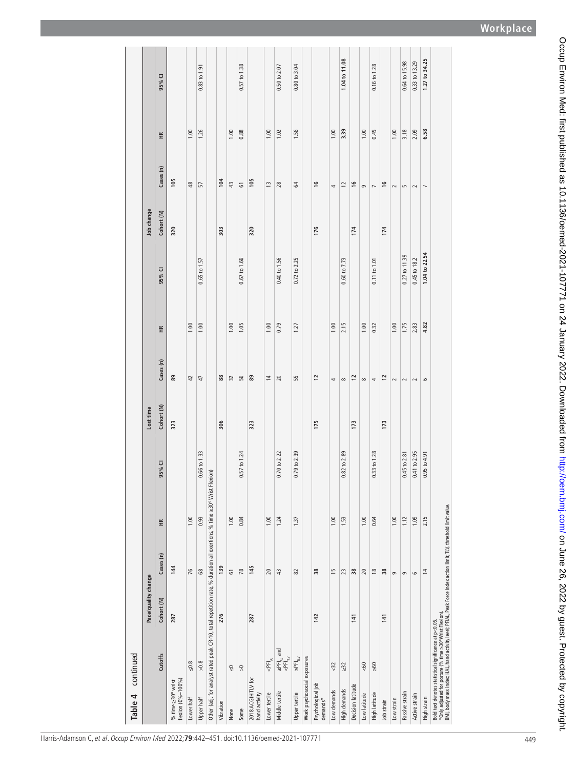| continued<br>Table 4                                                                                                                                                                                                                  |                     |                    |      |                  |            |                |                   |               |            |                |                 |                  |
|---------------------------------------------------------------------------------------------------------------------------------------------------------------------------------------------------------------------------------------|---------------------|--------------------|------|------------------|------------|----------------|-------------------|---------------|------------|----------------|-----------------|------------------|
|                                                                                                                                                                                                                                       | Pace/quality change |                    |      |                  | Lost time  |                |                   |               | Job change |                |                 |                  |
| <b>Cutoffs</b>                                                                                                                                                                                                                        | Cohort (N)          | Cases (n)          | £    | 95% CI           | Cohort (N) | Cases (n)      | $\widetilde{\Xi}$ | 95% CI        | Cohort (N) | Cases (n)      | $\widetilde{H}$ | 95% CI           |
| flexion (0%-100%)<br>% time $\geq$ 30° wrist                                                                                                                                                                                          | 287                 | 144                |      |                  | 323        | 89             |                   |               | 320        | 105            |                 |                  |
| $\leq 0.8$<br>Lower half                                                                                                                                                                                                              |                     | 76                 | 1.00 |                  |            | $\overline{4}$ | 1.00              |               |            | $\frac{8}{3}$  | 1.00            |                  |
| $>0.8$<br>Upper half                                                                                                                                                                                                                  |                     | $\pmb{\mathbb{S}}$ | 0.93 | 0.66 to 1.33     |            | 47             | 1.00              | 0.65 to 1.57  |            | 57             | 1.26            | 0.83 to 1.91     |
| Other (adj. for analyst rated peak CR-10, total repetition rate, % duration all exertions, % time ≥30° Wrist                                                                                                                          |                     |                    |      | lexion)<br>щ     |            |                |                   |               |            |                |                 |                  |
| Vibration                                                                                                                                                                                                                             | 276                 | 139                |      |                  | 306        | $88\,$         |                   |               | 303        | 104            |                 |                  |
| $\sqrt{2}$<br>None                                                                                                                                                                                                                    |                     | 5                  | 1.00 |                  |            | 32             | 1.00              |               |            | 43             | 1.00            |                  |
| $\widetilde{\wedge}$<br>Some                                                                                                                                                                                                          |                     | 78                 | 0.84 | 0.57 to 1.24     |            | 56             | 1.05              | 0.67 to 1.66  |            | 5              | 0.88            | 0.57 to 1.38     |
| 2018 ACGIH TLV for<br>hand activity                                                                                                                                                                                                   | 287                 | 145                |      |                  | 323        | 89             |                   |               | 320        | 105            |                 |                  |
| $\leq$ PFI $_{\text{AL}}$<br>Lower tertile                                                                                                                                                                                            |                     | 20                 | 1.00 |                  |            | $\overline{1}$ | 1.00              |               |            | $\frac{3}{2}$  | 1.00            |                  |
| $\geq$ PFI <sub>AL</sub> and<br>$\lt$ PFI <sub>LIV</sub><br>Middle tertile                                                                                                                                                            |                     | $\ddot{a}$         | 1.24 | 0.70 to 2.22     |            | 20             | 0.79              | 0.40 to 1.56  |            | 28             | 1.02            | 0.50 to 2.07     |
| $\geq$ PFI $_{\text{TV}}$<br>Upper tertile                                                                                                                                                                                            |                     | 82                 | 1.37 | 0.79 to 2.39     |            | 55             | 1.27              | 0.72 to 2.25  |            | 64             | 1.56            | $0.80$ to $3.04$ |
| Work psychosocial exposures                                                                                                                                                                                                           |                     |                    |      |                  |            |                |                   |               |            |                |                 |                  |
| Psychological job<br>demands*                                                                                                                                                                                                         | 142                 | 38                 |      |                  | 175        | $\overline{c}$ |                   |               | 176        | $\frac{6}{2}$  |                 |                  |
| <32<br>Low demands                                                                                                                                                                                                                    |                     | 15                 | 1.00 |                  |            | 4              | 1.00              |               |            | 4              | 1.00            |                  |
| $\geq 32$<br>High demands                                                                                                                                                                                                             |                     | 23                 | 1.53 | $0.82$ to $2.89$ |            | $\infty$       | 2.15              | 0.60 to 7.73  |            | $\overline{1}$ | 3.39            | 1.04 to 11.08    |
| Decision latitude                                                                                                                                                                                                                     | 141                 | 38                 |      |                  | 173        | 12             |                   |               | 174        | $\frac{6}{2}$  |                 |                  |
| $< 60$<br>Low latitude                                                                                                                                                                                                                |                     | 20                 | 1.00 |                  |            | $\infty$       | 1.00              |               |            | $\sigma$       | 1.00            |                  |
| $\geq 60$<br>High latitude                                                                                                                                                                                                            |                     | $\frac{8}{2}$      | 0.64 | 0.33 to 1.28     |            | 4              | 0.32              | 0.11 to 1.01  |            | $\overline{ }$ | 0.45            | 0.16 to 1.28     |
| Job strain                                                                                                                                                                                                                            | 141                 | 38                 |      |                  | 173        | $\overline{c}$ |                   |               | 174        | $\frac{6}{2}$  |                 |                  |
| Low strain                                                                                                                                                                                                                            |                     | 9                  | 1.00 |                  |            | $\sim$         | 1.00              |               |            | $\sim$         | 1.00            |                  |
| Passive strain                                                                                                                                                                                                                        |                     | $\circ$            | 1.12 | 0.45 to 2.81     |            | $\sim$         | 1.75              | 0.27 to 11.39 |            | S              | 3.18            | 0.64 to 15.98    |
| Active strain                                                                                                                                                                                                                         |                     | $\circ$            | 1.09 | 0.41 to 2.95     |            | $\sim$         | 2.83              | 0.45 to 18.2  |            | $\sim$         | 2.09            | 0.33 to 13.29    |
| High strain                                                                                                                                                                                                                           |                     | $\overline{4}$     | 2.15 | $0.95$ to $4.91$ |            | $\circ$        | 4.82              | 1.04 to 22.54 |            | $\overline{ }$ | 6.58            | 1.27 to 34.25    |
| "Only adjusted for posture (% time =>30°Wrist Flexion).<br>BMI, body mass index: HAL, hand activity level; PFIAL, Peak Force Index action limit; TLV, threshold limit value.<br>Bold text denotes statistical significance at p<0.05. |                     |                    |      |                  |            |                |                   |               |            |                |                 |                  |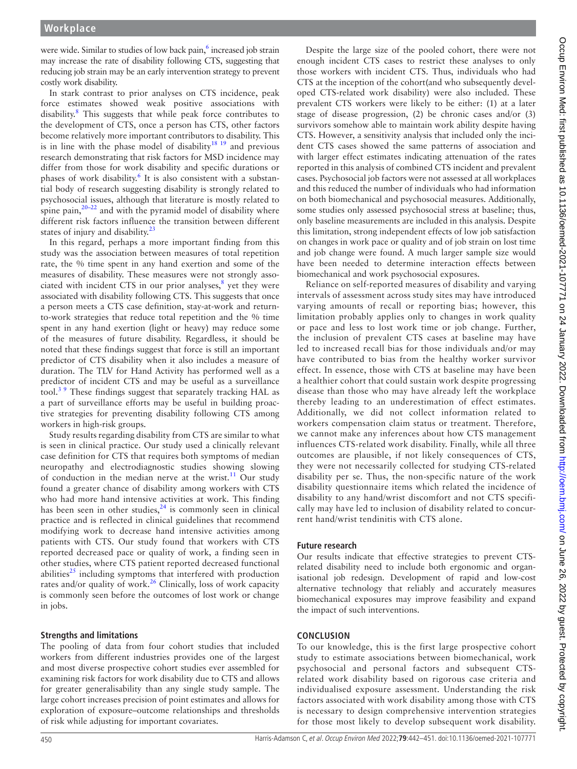were wide. Similar to studies of low back pain,<sup>[6](#page-9-3)</sup> increased job strain may increase the rate of disability following CTS, suggesting that reducing job strain may be an early intervention strategy to prevent costly work disability.

In stark contrast to prior analyses on CTS incidence, peak force estimates showed weak positive associations with disability.<sup>8</sup> This suggests that while peak force contributes to the development of CTS, once a person has CTS, other factors become relatively more important contributors to disability. This is in line with the phase model of disability $18\frac{19}{19}$  and previous research demonstrating that risk factors for MSD incidence may differ from those for work disability and specific durations or phases of work disability.<sup>6</sup> It is also consistent with a substantial body of research suggesting disability is strongly related to psychosocial issues, although that literature is mostly related to spine pain, $20-22$  and with the pyramid model of disability where different risk factors influence the transition between different states of injury and disability. $2<sup>3</sup>$ 

In this regard, perhaps a more important finding from this study was the association between measures of total repetition rate, the % time spent in any hand exertion and some of the measures of disability. These measures were not strongly associated with incident CTS in our prior analyses, $<sup>8</sup>$  yet they were</sup> associated with disability following CTS. This suggests that once a person meets a CTS case definition, stay-at-work and returnto-work strategies that reduce total repetition and the % time spent in any hand exertion (light or heavy) may reduce some of the measures of future disability. Regardless, it should be noted that these findings suggest that force is still an important predictor of CTS disability when it also includes a measure of duration. The TLV for Hand Activity has performed well as a predictor of incident CTS and may be useful as a surveillance tool. $3<sup>9</sup>$  These findings suggest that separately tracking HAL as a part of surveillance efforts may be useful in building proactive strategies for preventing disability following CTS among workers in high-risk groups.

Study results regarding disability from CTS are similar to what is seen in clinical practice. Our study used a clinically relevant case definition for CTS that requires both symptoms of median neuropathy and electrodiagnostic studies showing slowing of conduction in the median nerve at the wrist.<sup>11</sup> Our study found a greater chance of disability among workers with CTS who had more hand intensive activities at work. This finding has been seen in other studies,  $24$  is commonly seen in clinical practice and is reflected in clinical guidelines that recommend modifying work to decrease hand intensive activities among patients with CTS. Our study found that workers with CTS reported decreased pace or quality of work, a finding seen in other studies, where CTS patient reported decreased functional abilities $^{25}$  including symptoms that interfered with production rates and/or quality of work.<sup>26</sup> Clinically, loss of work capacity is commonly seen before the outcomes of lost work or change in jobs.

#### **Strengths and limitations**

The pooling of data from four cohort studies that included workers from different industries provides one of the largest and most diverse prospective cohort studies ever assembled for examining risk factors for work disability due to CTS and allows for greater generalisability than any single study sample. The large cohort increases precision of point estimates and allows for exploration of exposure–outcome relationships and thresholds of risk while adjusting for important covariates.

Despite the large size of the pooled cohort, there were not enough incident CTS cases to restrict these analyses to only those workers with incident CTS. Thus, individuals who had CTS at the inception of the cohort(and who subsequently developed CTS-related work disability) were also included. These prevalent CTS workers were likely to be either: (1) at a later stage of disease progression, (2) be chronic cases and/or (3) survivors somehow able to maintain work ability despite having CTS. However, a sensitivity analysis that included only the incident CTS cases showed the same patterns of association and with larger effect estimates indicating attenuation of the rates reported in this analysis of combined CTS incident and prevalent cases. Psychosocial job factors were not assessed at all workplaces and this reduced the number of individuals who had information on both biomechanical and psychosocial measures. Additionally, some studies only assessed psychosocial stress at baseline; thus, only baseline measurements are included in this analysis. Despite this limitation, strong independent effects of low job satisfaction on changes in work pace or quality and of job strain on lost time and job change were found. A much larger sample size would have been needed to determine interaction effects between biomechanical and work psychosocial exposures.

Reliance on self-reported measures of disability and varying intervals of assessment across study sites may have introduced varying amounts of recall or reporting bias; however, this limitation probably applies only to changes in work quality or pace and less to lost work time or job change. Further, the inclusion of prevalent CTS cases at baseline may have led to increased recall bias for those individuals and/or may have contributed to bias from the healthy worker survivor effect. In essence, those with CTS at baseline may have been a healthier cohort that could sustain work despite progressing disease than those who may have already left the workplace thereby leading to an underestimation of effect estimates. Additionally, we did not collect information related to workers compensation claim status or treatment. Therefore, we cannot make any inferences about how CTS management influences CTS-related work disability. Finally, while all three outcomes are plausible, if not likely consequences of CTS, they were not necessarily collected for studying CTS-related disability per se. Thus, the non-specific nature of the work disability questionnaire items which related the incidence of disability to any hand/wrist discomfort and not CTS specifically may have led to inclusion of disability related to concurrent hand/wrist tendinitis with CTS alone.

#### **Future research**

Our results indicate that effective strategies to prevent CTSrelated disability need to include both ergonomic and organisational job redesign. Development of rapid and low-cost alternative technology that reliably and accurately measures biomechanical exposures may improve feasibility and expand the impact of such interventions.

#### **CONCLUSION**

To our knowledge, this is the first large prospective cohort study to estimate associations between biomechanical, work psychosocial and personal factors and subsequent CTSrelated work disability based on rigorous case criteria and individualised exposure assessment. Understanding the risk factors associated with work disability among those with CTS is necessary to design comprehensive intervention strategies for those most likely to develop subsequent work disability.